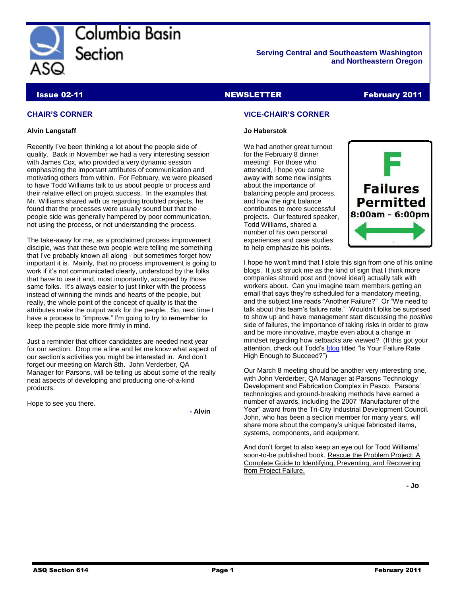

Columbia Basin Section

**Serving Central and Southeastern Washington and Northeastern Oregon**

### Issue 02-11 NEWSLETTER February 2011

### **CHAIR'S CORNER**

### **Alvin Langstaff**

Recently I've been thinking a lot about the people side of quality. Back in November we had a very interesting session with James Cox, who provided a very dynamic session emphasizing the important attributes of communication and motivating others from within. For February, we were pleased to have Todd Williams talk to us about people or process and their relative effect on project success. In the examples that Mr. Williams shared with us regarding troubled projects, he found that the processes were usually sound but that the people side was generally hampered by poor communication, not using the process, or not understanding the process.

The take-away for me, as a proclaimed process improvement disciple, was that these two people were telling me something that I've probably known all along - but sometimes forget how important it is. Mainly, that no process improvement is going to work if it's not communicated clearly, understood by the folks that have to use it and, most importantly, accepted by those same folks. It's always easier to just tinker with the process instead of winning the minds and hearts of the people, but really, the whole point of the concept of quality is that the attributes make the output work for the people. So, next time I have a process to "improve," I'm going to try to remember to keep the people side more firmly in mind.

Just a reminder that officer candidates are needed next year for our section. Drop me a line and let me know what aspect of our section's activities you might be interested in. And don't forget our meeting on March 8th. John Verderber, QA Manager for Parsons, will be telling us about some of the really neat aspects of developing and producing one-of-a-kind products.

Hope to see you there.

**- Alvin**

### **VICE-CHAIR'S CORNER**

### **Jo Haberstok**

We had another great turnout for the February 8 dinner meeting! For those who attended, I hope you came away with some new insights about the importance of balancing people and process, and how the right balance contributes to more successful projects. Our featured speaker, Todd Williams, shared a number of his own personal experiences and case studies to help emphasize his points.



I hope he won't mind that I stole this sign from one of his online blogs. It just struck me as the kind of sign that I think more companies should post and (novel idea!) actually talk with workers about. Can you imagine team members getting an email that says they're scheduled for a mandatory meeting, and the subject line reads "Another Failure?" Or "We need to talk about this team's failure rate." Wouldn't folks be surprised to show up and have management start discussing the *positive* side of failures, the importance of taking risks in order to grow and be more innovative, maybe even about a change in mindset regarding how setbacks are viewed? (If this got your attention, check out Todd's [blog](http://ecaminc.com/index.php/blog/59-generalblog/228-2011-01-24) titled "Is Your Failure Rate High Enough to Succeed?")

Our March 8 meeting should be another very interesting one, with John Verderber, QA Manager at Parsons Technology Development and Fabrication Complex in Pasco. Parsons' technologies and ground-breaking methods have earned a number of awards, including the 2007 "Manufacturer of the Year" award from the Tri-City Industrial Development Council. John, who has been a section member for many years, will share more about the company's unique fabricated items, systems, components, and equipment.

And don't forget to also keep an eye out for Todd Williams' soon-to-be published book, Rescue the Problem Project: A Complete Guide to Identifying, Preventing, and Recovering from Project Failure.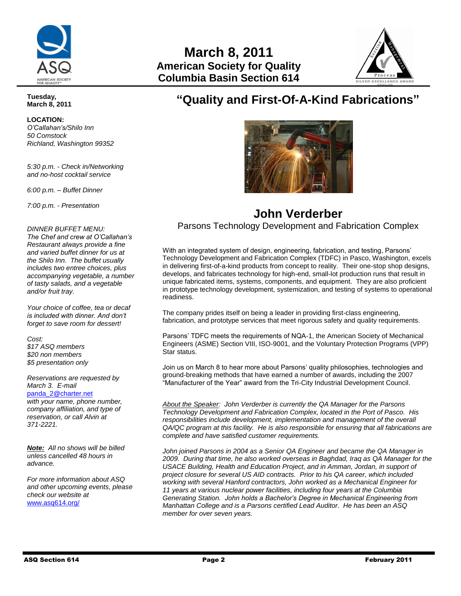



# **"Quality and First-Of-A-Kind Fabrications"**



## **John Verderber** Parsons Technology Development and Fabrication Complex

With an integrated system of design, engineering, fabrication, and testing, Parsons' Technology Development and Fabrication Complex (TDFC) in Pasco, Washington, excels in delivering first-of-a-kind products from concept to reality. Their one-stop shop designs, develops, and fabricates technology for high-end, small-lot production runs that result in unique fabricated items, systems, components, and equipment. They are also proficient in prototype technology development, systemization, and testing of systems to operational readiness.

The company prides itself on being a leader in providing first-class engineering, fabrication, and prototype services that meet rigorous safety and quality requirements.

Parsons' TDFC meets the requirements of NQA-1, the American Society of Mechanical Engineers (ASME) Section VIII, ISO-9001, and the Voluntary Protection Programs (VPP) Star status.

Join us on March 8 to hear more about Parsons' quality philosophies, technologies and ground-breaking methods that have earned a number of awards, including the 2007 "Manufacturer of the Year" award from the Tri-City Industrial Development Council.

*About the Speaker: John Verderber is currently the QA Manager for the Parsons Technology Development and Fabrication Complex, located in the Port of Pasco. His responsibilities include development, implementation and management of the overall QA/QC program at this facility. He is also responsible for ensuring that all fabrications are complete and have satisfied customer requirements.* 

*John joined Parsons in 2004 as a Senior QA Engineer and became the QA Manager in 2009. During that time, he also worked overseas in Baghdad, Iraq as QA Manager for the USACE Building, Health and Education Project, and in Amman, Jordan, in support of project closure for several US AID contracts. Prior to his QA career, which included working with several Hanford contractors, John worked as a Mechanical Engineer for 11 years at various nuclear power facilities, including four years at the Columbia Generating Station. John holds a Bachelor's Degree in Mechanical Engineering from Manhattan College and is a Parsons certified Lead Auditor. He has been an ASQ member for over seven years.*

### **Tuesday, March 8, 2011**

**LOCATION:**  *O'Callahan's/Shilo Inn 50 Comstock Richland, Washington 99352*

*5:30 p.m. - Check in/Networking and no-host cocktail service* 

*6:00 p.m. – Buffet Dinner*

*7:00 p.m. - Presentation*

*DINNER BUFFET MENU:*

*The Chef and crew at O'Callahan's Restaurant always provide a fine and varied buffet dinner for us at the Shilo Inn. The buffet usually includes two entree choices, plus accompanying vegetable, a number of tasty salads, and a vegetable and/or fruit tray.* 

*Your choice of coffee, tea or decaf is included with dinner. And don't forget to save room for dessert!* 

*Cost:*

*\$17 ASQ members \$20 non members \$5 presentation only*

*Reservations are requested by March 3. E-mail* 

[panda\\_2@charter.net](mailto:panda_2@charter.net) *with your name, phone number, company affiliation, and type of reservation, or call Alvin at 371-2221.*

*Note: All no shows will be billed unless cancelled 48 hours in advance.* 

*For more information about ASQ and other upcoming events, please check our website at*  [www.asq614.org/](http://www.asq614.org/)